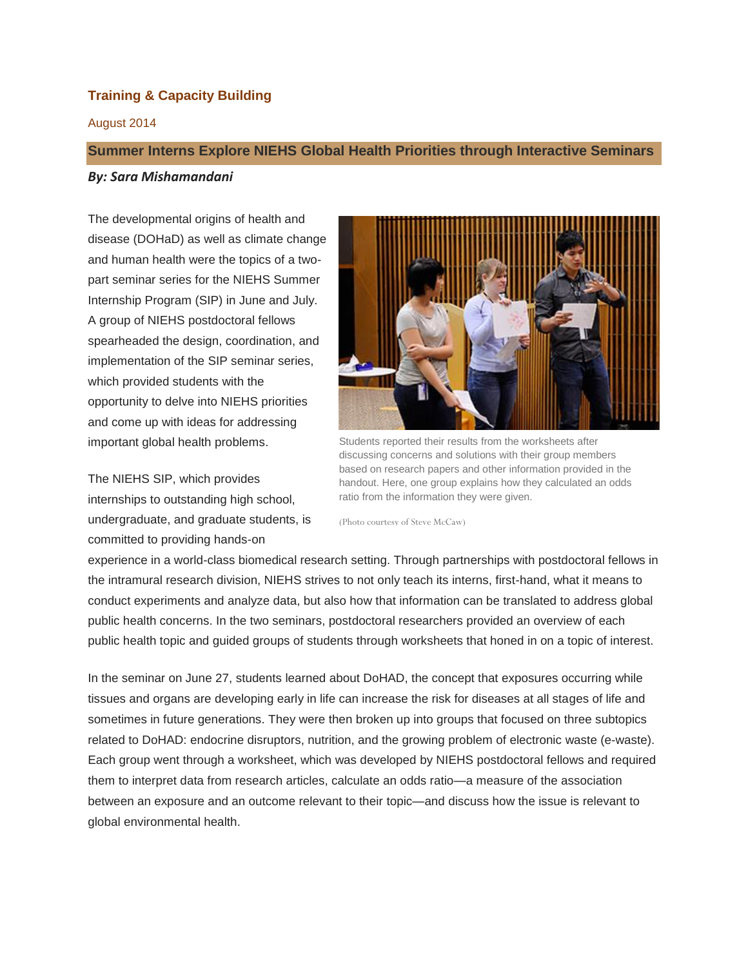# **Training & Capacity Building**

## August 2014

# **Summer Interns Explore NIEHS Global Health Priorities through Interactive Seminars**

#### *By: Sara Mishamandani*

The developmental origins of health and disease (DOHaD) as well as climate change and human health were the topics of a twopart seminar series for the NIEHS Summer Internship Program (SIP) in June and July. A group of NIEHS postdoctoral fellows spearheaded the design, coordination, and implementation of the SIP seminar series, which provided students with the opportunity to delve into NIEHS priorities and come up with ideas for addressing important global health problems.

The NIEHS SIP, which provides internships to outstanding high school, undergraduate, and graduate students, is committed to providing hands-on



Students reported their results from the worksheets after discussing concerns and solutions with their group members based on research papers and other information provided in the handout. Here, one group explains how they calculated an odds ratio from the information they were given.

(Photo courtesy of Steve McCaw)

experience in a world-class biomedical research setting. Through partnerships with postdoctoral fellows in the intramural research division, NIEHS strives to not only teach its interns, first-hand, what it means to conduct experiments and analyze data, but also how that information can be translated to address global public health concerns. In the two seminars, postdoctoral researchers provided an overview of each public health topic and guided groups of students through worksheets that honed in on a topic of interest.

In the seminar on June 27, students learned about DoHAD, the concept that exposures occurring while tissues and organs are developing early in life can increase the risk for diseases at all stages of life and sometimes in future generations. They were then broken up into groups that focused on three subtopics related to DoHAD: endocrine disruptors, nutrition, and the growing problem of electronic waste (e-waste). Each group went through a worksheet, which was developed by NIEHS postdoctoral fellows and required them to interpret data from research articles, calculate an odds ratio—a measure of the association between an exposure and an outcome relevant to their topic—and discuss how the issue is relevant to global environmental health.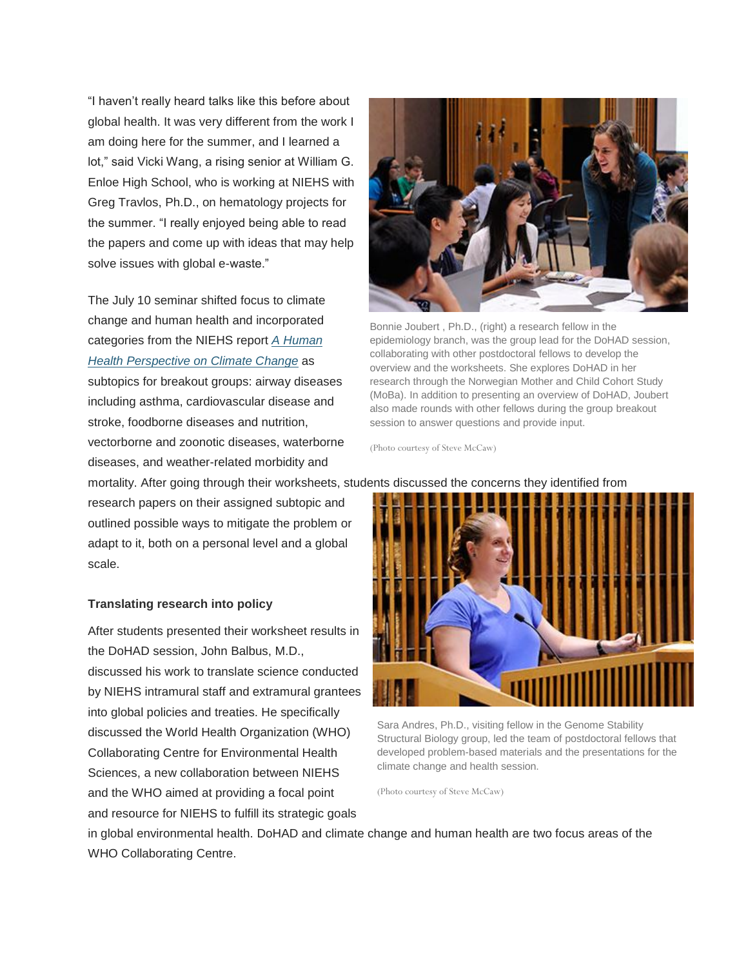"I haven't really heard talks like this before about global health. It was very different from the work I am doing here for the summer, and I learned a lot," said Vicki Wang, a rising senior at William G. Enloe High School, who is working at NIEHS with Greg Travlos, Ph.D., on hematology projects for the summer. "I really enjoyed being able to read the papers and come up with ideas that may help solve issues with global e-waste."

The July 10 seminar shifted focus to climate change and human health and incorporated categories from the NIEHS report *A [Human](http://edit:9992/Rhythmyx/assembler/render?sys_contentid=4383&sys_revision=5&sys_folderid=19594&sys_context=0&sys_siteid=305&sys_variantid=655&sys_authtype=0) Health [Perspective](http://edit:9992/Rhythmyx/assembler/render?sys_contentid=4383&sys_revision=5&sys_folderid=19594&sys_context=0&sys_siteid=305&sys_variantid=655&sys_authtype=0) on Climate Change* as subtopics for breakout groups: airway diseases including asthma, cardiovascular disease and stroke, foodborne diseases and nutrition, vectorborne and zoonotic diseases, waterborne diseases, and weather-related morbidity and

research papers on their assigned subtopic and outlined possible ways to mitigate the problem or adapt to it, both on a personal level and a global scale.

## **Translating research into policy**

After students presented their worksheet results in the DoHAD session, John Balbus, M.D., discussed his work to translate science conducted by NIEHS intramural staff and extramural grantees into global policies and treaties. He specifically discussed the World Health Organization (WHO) Collaborating Centre for Environmental Health Sciences, a new collaboration between NIEHS and the WHO aimed at providing a focal point and resource for NIEHS to fulfill its strategic goals



Bonnie Joubert , Ph.D., (right) a research fellow in the epidemiology branch, was the group lead for the DoHAD session, collaborating with other postdoctoral fellows to develop the overview and the worksheets. She explores DoHAD in her research through the Norwegian Mother and Child Cohort Study (MoBa). In addition to presenting an overview of DoHAD, Joubert also made rounds with other fellows during the group breakout session to answer questions and provide input.

(Photo courtesy of Steve McCaw)

mortality. After going through their worksheets, students discussed the concerns they identified from



Sara Andres, Ph.D., visiting fellow in the Genome Stability Structural Biology group, led the team of postdoctoral fellows that developed problem-based materials and the presentations for the climate change and health session.

(Photo courtesy of Steve McCaw)

in global environmental health. DoHAD and climate change and human health are two focus areas of the WHO Collaborating Centre.